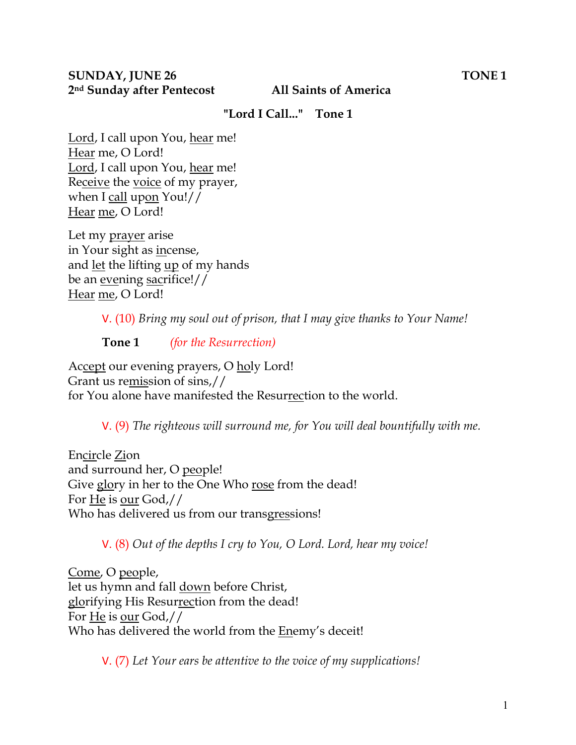### **"Lord I Call..." Tone 1**

Lord, I call upon You, hear me! Hear me, O Lord! Lord, I call upon You, hear me! Receive the voice of my prayer, when I call upon You!// Hear me, O Lord!

Let my prayer arise in Your sight as incense, and let the lifting up of my hands be an evening sacrifice!// Hear me, O Lord!

V. (10) *Bring my soul out of prison, that I may give thanks to Your Name!* 

**Tone 1** *(for the Resurrection)* 

Accept our evening prayers, O holy Lord! Grant us remission of sins,// for You alone have manifested the Resurrection to the world.

V. (9) *The righteous will surround me, for You will deal bountifully with me.* 

Encircle Zion and surround her, O people! Give glory in her to the One Who rose from the dead! For He is our God,// Who has delivered us from our transgressions!

V. (8) *Out of the depths I cry to You, O Lord. Lord, hear my voice!* 

Come, O people, let us hymn and fall down before Christ, glorifying His Resurrection from the dead! For He is our God,// Who has delivered the world from the Enemy's deceit!

V. (7) *Let Your ears be attentive to the voice of my supplications!*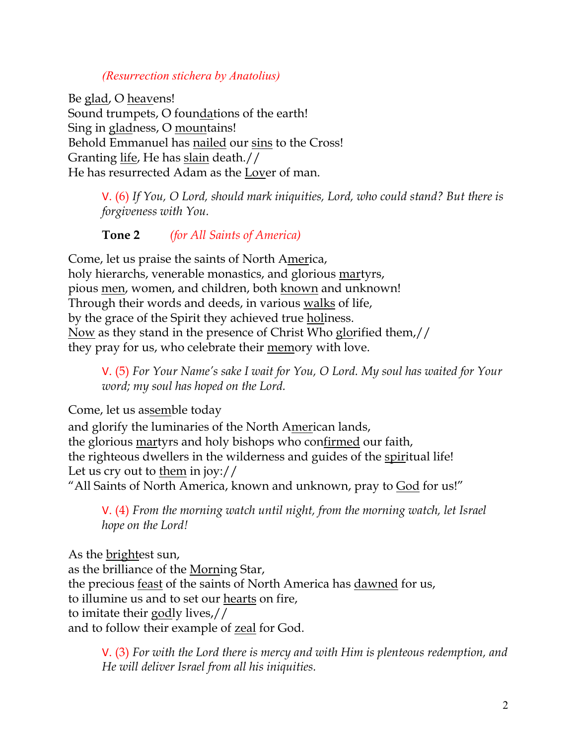### *(Resurrection stichera by Anatolius)*

Be glad, O heavens! Sound trumpets, O foundations of the earth! Sing in gladness, O mountains! Behold Emmanuel has nailed our sins to the Cross! Granting life, He has slain death.// He has resurrected Adam as the Lover of man.

> V. (6) *If You, O Lord, should mark iniquities, Lord, who could stand? But there is forgiveness with You.*

# **Tone 2** *(for All Saints of America)*

Come, let us praise the saints of North America, holy hierarchs, venerable monastics, and glorious martyrs, pious men, women, and children, both known and unknown! Through their words and deeds, in various walks of life, by the grace of the Spirit they achieved true holiness. Now as they stand in the presence of Christ Who glorified them,// they pray for us, who celebrate their memory with love.

V. (5) *For Your Name's sake I wait for You, O Lord. My soul has waited for Your word; my soul has hoped on the Lord.* 

Come, let us assemble today

and glorify the luminaries of the North American lands, the glorious martyrs and holy bishops who confirmed our faith, the righteous dwellers in the wilderness and guides of the spiritual life! Let us cry out to them in joy:// "All Saints of North America, known and unknown, pray to God for us!"

V. (4) *From the morning watch until night, from the morning watch, let Israel hope on the Lord!* 

As the brightest sun, as the brilliance of the Morning Star, the precious feast of the saints of North America has dawned for us, to illumine us and to set our hearts on fire, to imitate their godly lives,// and to follow their example of zeal for God.

V. (3) *For with the Lord there is mercy and with Him is plenteous redemption, and He will deliver Israel from all his iniquities.*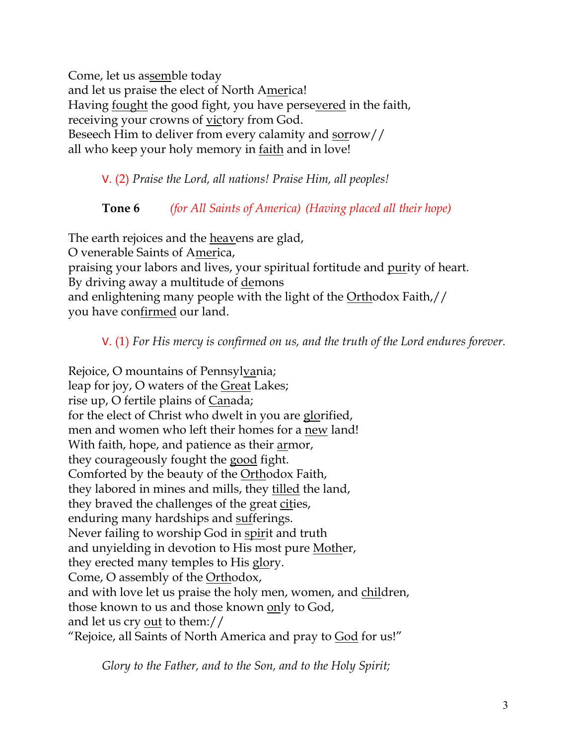Come, let us assemble today and let us praise the elect of North America! Having fought the good fight, you have persevered in the faith, receiving your crowns of victory from God. Beseech Him to deliver from every calamity and sorrow// all who keep your holy memory in faith and in love!

V. (2) *Praise the Lord, all nations! Praise Him, all peoples!*

# **Tone 6** *(for All Saints of America) (Having placed all their hope)*

The earth rejoices and the heavens are glad, O venerable Saints of America, praising your labors and lives, your spiritual fortitude and <u>pur</u>ity of heart. By driving away a multitude of demons and enlightening many people with the light of the Orthodox Faith,// you have confirmed our land.

V. (1) *For His mercy is confirmed on us, and the truth of the Lord endures forever.* 

Rejoice, O mountains of Pennsylvania; leap for joy, O waters of the Great Lakes; rise up, O fertile plains of Canada; for the elect of Christ who dwelt in you are glorified, men and women who left their homes for a new land! With faith, hope, and patience as their armor, they courageously fought the good fight. Comforted by the beauty of the Orthodox Faith, they labored in mines and mills, they tilled the land, they braved the challenges of the great cities, enduring many hardships and sufferings. Never failing to worship God in spirit and truth and unyielding in devotion to His most pure Mother, they erected many temples to His glory. Come, O assembly of the Orthodox, and with love let us praise the holy men, women, and children, those known to us and those known only to God, and let us cry out to them:// "Rejoice, all Saints of North America and pray to God for us!"

*Glory to the Father, and to the Son, and to the Holy Spirit;*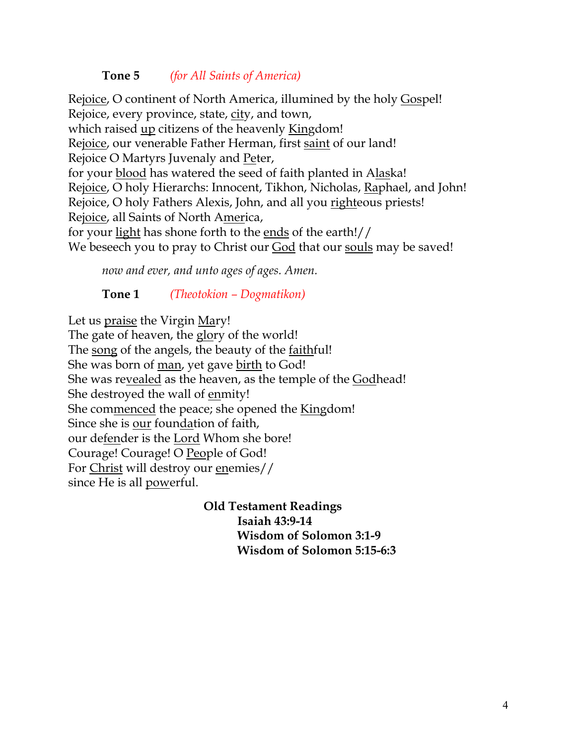# **Tone 5** *(for All Saints of America)*

Rejoice, O continent of North America, illumined by the holy Gospel! Rejoice, every province, state, city, and town, which raised up citizens of the heavenly Kingdom! Rejoice, our venerable Father Herman, first saint of our land! Rejoice O Martyrs Juvenaly and Peter, for your blood has watered the seed of faith planted in Alaska! Rejoice, O holy Hierarchs: Innocent, Tikhon, Nicholas, Raphael, and John! Rejoice, O holy Fathers Alexis, John, and all you righteous priests! Rejoice, all Saints of North America, for your light has shone forth to the ends of the earth!// We beseech you to pray to Christ our **God** that our souls may be saved!

*now and ever, and unto ages of ages. Amen.* 

**Tone 1** *(Theotokion – Dogmatikon)*

Let us praise the Virgin Mary! The gate of heaven, the glory of the world! The song of the angels, the beauty of the faithful! She was born of man, yet gave birth to God! She was revealed as the heaven, as the temple of the Godhead! She destroyed the wall of enmity! She commenced the peace; she opened the Kingdom! Since she is our foundation of faith, our defender is the Lord Whom she bore! Courage! Courage! O People of God! For Christ will destroy our enemies// since He is all powerful.

> **Old Testament Readings Isaiah 43:9-14 Wisdom of Solomon 3:1-9 Wisdom of Solomon 5:15-6:3**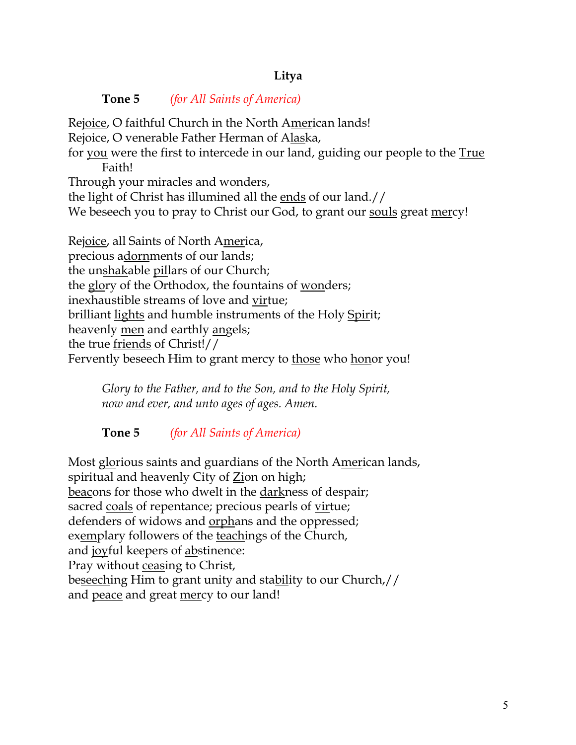# **Litya**

**Tone 5** *(for All Saints of America)*

Rejoice, O faithful Church in the North American lands! Rejoice, O venerable Father Herman of Alaska, for you were the first to intercede in our land, guiding our people to the True Faith! Through your miracles and wonders, the light of Christ has illumined all the ends of our land.// We beseech you to pray to Christ our God, to grant our souls great mercy!

Rejoice, all Saints of North America, precious adornments of our lands; the unshakable pillars of our Church; the glory of the Orthodox, the fountains of wonders; inexhaustible streams of love and virtue; brilliant lights and humble instruments of the Holy Spirit; heavenly men and earthly angels; the true friends of Christ!// Fervently beseech Him to grant mercy to those who honor you!

*Glory to the Father, and to the Son, and to the Holy Spirit, now and ever, and unto ages of ages. Amen.*

# **Tone 5** *(for All Saints of America)*

Most glorious saints and guardians of the North American lands, spiritual and heavenly City of Zion on high; beacons for those who dwelt in the darkness of despair; sacred coals of repentance; precious pearls of virtue; defenders of widows and <u>orphans</u> and the oppressed; exemplary followers of the teachings of the Church, and joyful keepers of abstinence: Pray without ceasing to Christ, beseeching Him to grant unity and stability to our Church,// and peace and great mercy to our land!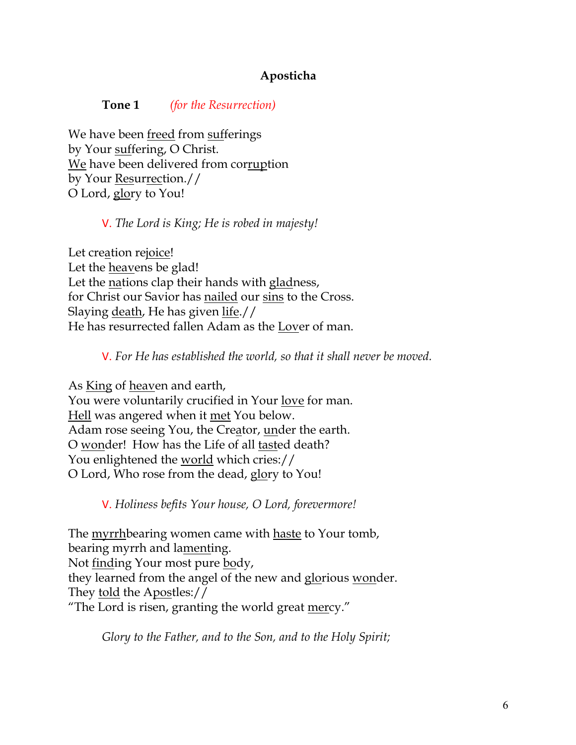# **Aposticha**

#### **Tone 1** *(for the Resurrection)*

We have been freed from sufferings by Your suffering, O Christ. We have been delivered from corruption by Your Resurrection.// O Lord, glory to You!

V. *The Lord is King; He is robed in majesty!* 

Let creation rejoice! Let the heavens be glad! Let the nations clap their hands with gladness, for Christ our Savior has nailed our sins to the Cross. Slaying death, He has given life.// He has resurrected fallen Adam as the Lover of man.

V. *For He has established the world, so that it shall never be moved.*

As King of heaven and earth, You were voluntarily crucified in Your love for man. Hell was angered when it met You below. Adam rose seeing You, the Creator, under the earth. O wonder! How has the Life of all tasted death? You enlightened the <u>world</u> which cries:// O Lord, Who rose from the dead, glory to You!

V. *Holiness befits Your house, O Lord, forevermore!* 

The myrrhbearing women came with haste to Your tomb, bearing myrrh and lamenting. Not finding Your most pure body, they learned from the angel of the new and glorious wonder. They told the Apostles:// "The Lord is risen, granting the world great mercy."

*Glory to the Father, and to the Son, and to the Holy Spirit;*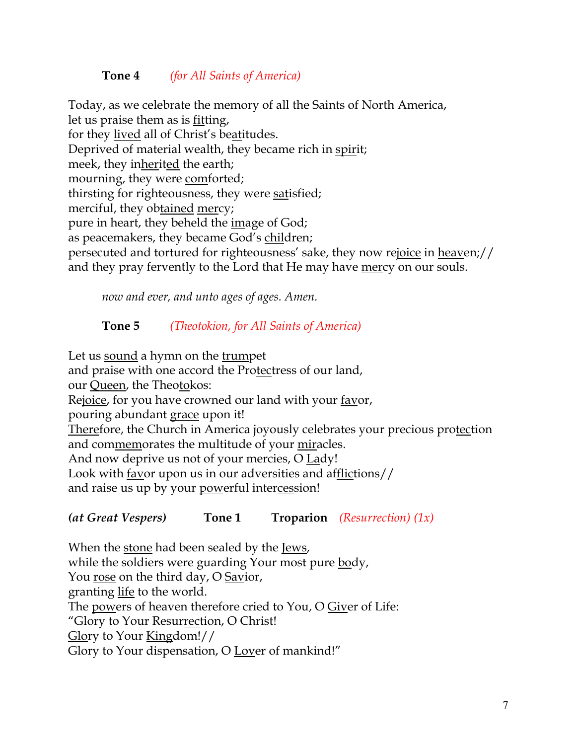# **Tone 4** *(for All Saints of America)*

Today, as we celebrate the memory of all the Saints of North America, let us praise them as is fitting, for they lived all of Christ's beatitudes. Deprived of material wealth, they became rich in spirit; meek, they inherited the earth; mourning, they were comforted; thirsting for righteousness, they were satisfied; merciful, they obtained mercy; pure in heart, they beheld the image of God; as peacemakers, they became God's children; persecuted and tortured for righteousness' sake, they now rejoice in heaven;// and they pray fervently to the Lord that He may have mercy on our souls.

*now and ever, and unto ages of ages. Amen.*

# **Tone 5** *(Theotokion, for All Saints of America)*

Let us sound a hymn on the trumpet and praise with one accord the Protectress of our land, our Queen, the Theotokos: Rejoice, for you have crowned our land with your favor, pouring abundant grace upon it! Therefore, the Church in America joyously celebrates your precious protection and commemorates the multitude of your miracles. And now deprive us not of your mercies, O Lady! Look with <u>fav</u>or upon us in our adversities and afflictions// and raise us up by your powerful intercession!

*(at Great Vespers)* **Tone 1 Troparion** *(Resurrection) (1x)*

When the stone had been sealed by the Jews, while the soldiers were guarding Your most pure body, You rose on the third day, O Savior, granting life to the world. The powers of heaven therefore cried to You, O Giver of Life: "Glory to Your Resurrection, O Christ! Glory to Your Kingdom!// Glory to Your dispensation, O Lover of mankind!"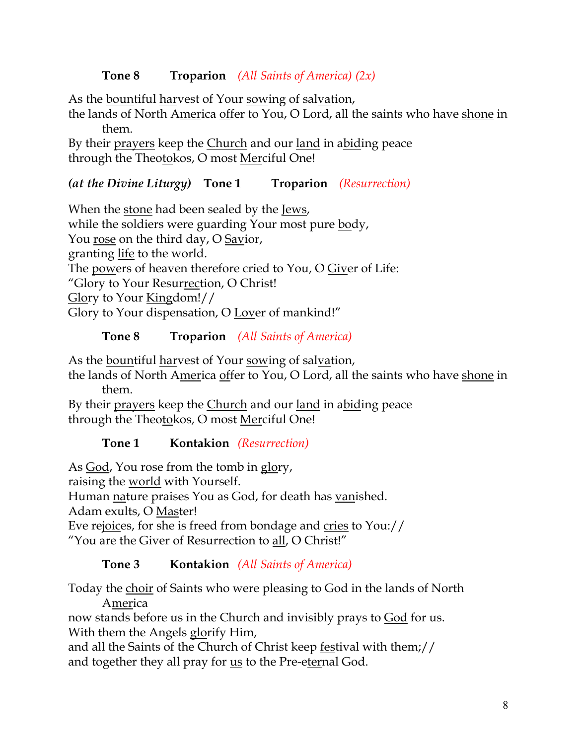# **Tone 8 Troparion** *(All Saints of America) (2x)*

As the bountiful harvest of Your sowing of salvation,

the lands of North America offer to You, O Lord, all the saints who have shone in them.

By their prayers keep the Church and our land in abiding peace through the Theotokos, O most Merciful One!

### *(at the Divine Liturgy)* **Tone 1 Troparion** *(Resurrection)*

When the stone had been sealed by the Jews, while the soldiers were guarding Your most pure body, You rose on the third day, O Savior, granting life to the world. The powers of heaven therefore cried to You, O Giver of Life: "Glory to Your Resurrection, O Christ! Glory to Your Kingdom!// Glory to Your dispensation, O Lover of mankind!"

# **Tone 8 Troparion** *(All Saints of America)*

As the bountiful harvest of Your sowing of salvation,

the lands of North America offer to You, O Lord, all the saints who have shone in them.

By their prayers keep the Church and our land in abiding peace through the Theotokos, O most Merciful One!

# **Tone 1 Kontakion** *(Resurrection)*

As God, You rose from the tomb in glory,

raising the world with Yourself.

Human nature praises You as God, for death has vanished.

Adam exults, O Master!

Eve rejoices, for she is freed from bondage and cries to You:// "You are the Giver of Resurrection to all, O Christ!"

# **Tone 3 Kontakion** *(All Saints of America)*

Today the choir of Saints who were pleasing to God in the lands of North America

now stands before us in the Church and invisibly prays to God for us. With them the Angels glorify Him,

and all the Saints of the Church of Christ keep festival with them;// and together they all pray for us to the Pre-eternal God.